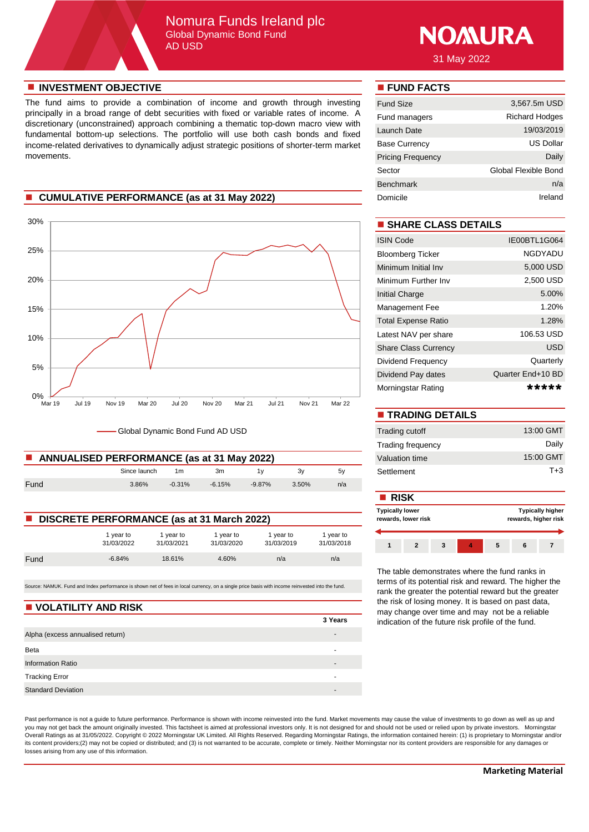# Nomura Funds Ireland plc Global Dynamic Bond Fund AD USD



31 May 2022

# **n** INVESTMENT OBJECTIVE **n FUND FACTS**

The fund aims to provide a combination of income and growth through investing principally in a broad range of debt securities with fixed or variable rates of income. A discretionary (unconstrained) approach combining a thematic top-down macro view with fundamental bottom-up selections. The portfolio will use both cash bonds and fixed income-related derivatives to dynamically adjust strategic positions of shorter-term market movements.

# **n** CUMULATIVE PERFORMANCE (as at 31 May 2022)



Global Dynamic Bond Fund AD USD

| ANNUALISED PERFORMANCE (as at 31 May 2022) | Valuation time |           |          |           |          |     |            |
|--------------------------------------------|----------------|-----------|----------|-----------|----------|-----|------------|
|                                            | Since launch   | 1m        | 3m       |           |          | 5v  | Settlement |
| Fund                                       | 3.86%          | $-0.31\%$ | $-6.15%$ | $-9.87\%$ | $3.50\%$ | n/a |            |

| <b>DISCRETE PERFORMANCE (as at 31 March 2022)</b> |                         |                         |                         |                         |                         |  |  |
|---------------------------------------------------|-------------------------|-------------------------|-------------------------|-------------------------|-------------------------|--|--|
|                                                   | 1 vear to<br>31/03/2022 | 1 vear to<br>31/03/2021 | 1 year to<br>31/03/2020 | 1 year to<br>31/03/2019 | 1 year to<br>31/03/2018 |  |  |
| Fund                                              | $-6.84%$                | 18.61%                  | 4.60%                   | n/a                     | n/a                     |  |  |

Source: NAMUK. Fund and Index performance is shown net of fees in local currency, on a single price basis with income reinvested into the fund.

#### **N** VOLATILITY AND RISK

|                                  | 3 Years                  |
|----------------------------------|--------------------------|
| Alpha (excess annualised return) | $\overline{\phantom{a}}$ |
| Beta                             | -                        |
| <b>Information Ratio</b>         | $\overline{\phantom{0}}$ |
| <b>Tracking Error</b>            | -                        |
| <b>Standard Deviation</b>        | $\overline{\phantom{0}}$ |

| Fund Size                | 3,567.5m USD          |
|--------------------------|-----------------------|
| Fund managers            | <b>Richard Hodges</b> |
| Launch Date              | 19/03/2019            |
| <b>Base Currency</b>     | US Dollar             |
| <b>Pricing Frequency</b> | Daily                 |
| Sector                   | Global Flexible Bond  |
| <b>Benchmark</b>         | n/a                   |
| Domicile                 | Ireland               |

# $\blacksquare$  **SHARE CLASS DETAILS**

| <b>ISIN Code</b>            | IE00BTL1G064      |
|-----------------------------|-------------------|
| <b>Bloomberg Ticker</b>     | <b>NGDYADU</b>    |
| Minimum Initial Inv         | 5,000 USD         |
| Minimum Further Inv         | 2.500 USD         |
| Initial Charge              | 5.00%             |
| Management Fee              | 1.20%             |
| <b>Total Expense Ratio</b>  | 1.28%             |
| Latest NAV per share        | 106.53 USD        |
| <b>Share Class Currency</b> | <b>USD</b>        |
| Dividend Frequency          | Quarterly         |
| Dividend Pay dates          | Quarter End+10 BD |
| Morningstar Rating          | *****             |

| <b>TRADING DETAILS</b>   |           |
|--------------------------|-----------|
| Trading cutoff           | 13:00 GMT |
| <b>Trading frequency</b> | Daily     |
| Valuation time           | 15:00 GMT |
| Settlement               | $T + 3$   |

|                                                   |                       |                       |                       |                       | <b>u</b> Risk          |                     |              |  |  |  |                                                 |  |
|---------------------------------------------------|-----------------------|-----------------------|-----------------------|-----------------------|------------------------|---------------------|--------------|--|--|--|-------------------------------------------------|--|
| <b>DISCRETE PERFORMANCE (as at 31 March 2022)</b> |                       |                       |                       |                       | <b>Typically lower</b> | rewards, lower risk |              |  |  |  | <b>Typically higher</b><br>rewards, higher risk |  |
|                                                   | vear to<br>31/03/2022 | vear to<br>31/03/2021 | vear to<br>31/03/2020 | vear to<br>31/03/2019 | vear to<br>31/03/2018  |                     | $\mathbf{2}$ |  |  |  |                                                 |  |
| - -                                               | 0.0101                | 10.0101               | 1.0001                | $-1$                  | $-1$                   |                     |              |  |  |  |                                                 |  |

The table demonstrates where the fund ranks in terms of its potential risk and reward. The higher the rank the greater the potential reward but the greater the risk of losing money. It is based on past data, may change over time and may not be a reliable indication of the future risk profile of the fund.

Past performance is not a guide to future performance. Performance is shown with income reinvested into the fund. Market movements may cause the value of investments to go down as well as up and you may not get back the amount originally invested. This factsheet is aimed at professional investors only. It is not designed for and should not be used or relied upon by private investors. Morningstar Overall Ratings as at 31/05/2022. Copyright © 2022 Morningstar UK Limited. All Rights Reserved. Regarding Morningstar Ratings, the information contained herein: (1) is proprietary to Morningstar and/or its content providers;(2) may not be copied or distributed; and (3) is not warranted to be accurate, complete or timely. Neither Morningstar nor its content providers are responsible for any damages or losses arising from any use of this information.